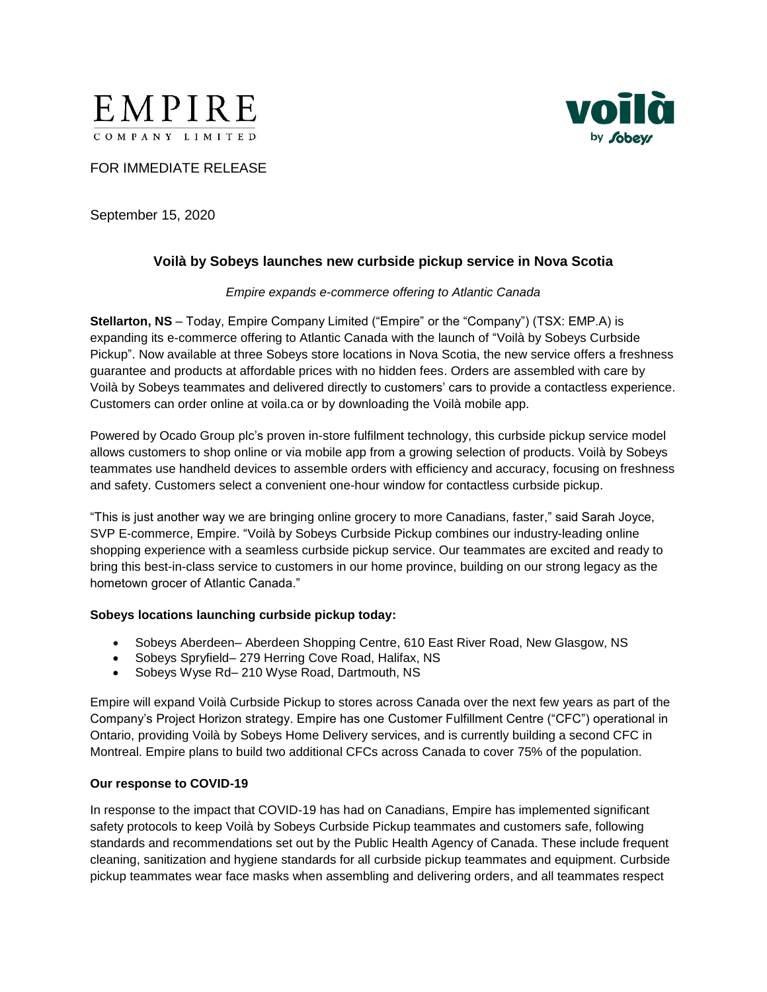



# FOR IMMEDIATE RELEASE

September 15, 2020

## **Voilà by Sobeys launches new curbside pickup service in Nova Scotia**

#### *Empire expands e-commerce offering to Atlantic Canada*

**Stellarton, NS** – Today, Empire Company Limited ("Empire" or the "Company") (TSX: EMP.A) is expanding its e-commerce offering to Atlantic Canada with the launch of "Voilà by Sobeys Curbside Pickup". Now available at three Sobeys store locations in Nova Scotia, the new service offers a freshness guarantee and products at affordable prices with no hidden fees. Orders are assembled with care by Voilà by Sobeys teammates and delivered directly to customers' cars to provide a contactless experience. Customers can order online at voila.ca or by downloading the Voilà mobile app.

Powered by Ocado Group plc's proven in-store fulfilment technology, this curbside pickup service model allows customers to shop online or via mobile app from a growing selection of products. Voilà by Sobeys teammates use handheld devices to assemble orders with efficiency and accuracy, focusing on freshness and safety. Customers select a convenient one-hour window for contactless curbside pickup.

"This is just another way we are bringing online grocery to more Canadians, faster," said Sarah Joyce, SVP E-commerce, Empire. "Voilà by Sobeys Curbside Pickup combines our industry-leading online shopping experience with a seamless curbside pickup service. Our teammates are excited and ready to bring this best-in-class service to customers in our home province, building on our strong legacy as the hometown grocer of Atlantic Canada."

#### **Sobeys locations launching curbside pickup today:**

- Sobeys Aberdeen– Aberdeen Shopping Centre, 610 East River Road, New Glasgow, NS
- Sobeys Spryfield– 279 Herring Cove Road, Halifax, NS
- Sobeys Wyse Rd– 210 Wyse Road, Dartmouth, NS

Empire will expand Voilà Curbside Pickup to stores across Canada over the next few years as part of the Company's Project Horizon strategy. Empire has one Customer Fulfillment Centre ("CFC") operational in Ontario, providing Voilà by Sobeys Home Delivery services, and is currently building a second CFC in Montreal. Empire plans to build two additional CFCs across Canada to cover 75% of the population.

#### **Our response to COVID-19**

In response to the impact that COVID-19 has had on Canadians, Empire has implemented significant safety protocols to keep Voilà by Sobeys Curbside Pickup teammates and customers safe, following standards and recommendations set out by the Public Health Agency of Canada. These include frequent cleaning, sanitization and hygiene standards for all curbside pickup teammates and equipment. Curbside pickup teammates wear face masks when assembling and delivering orders, and all teammates respect